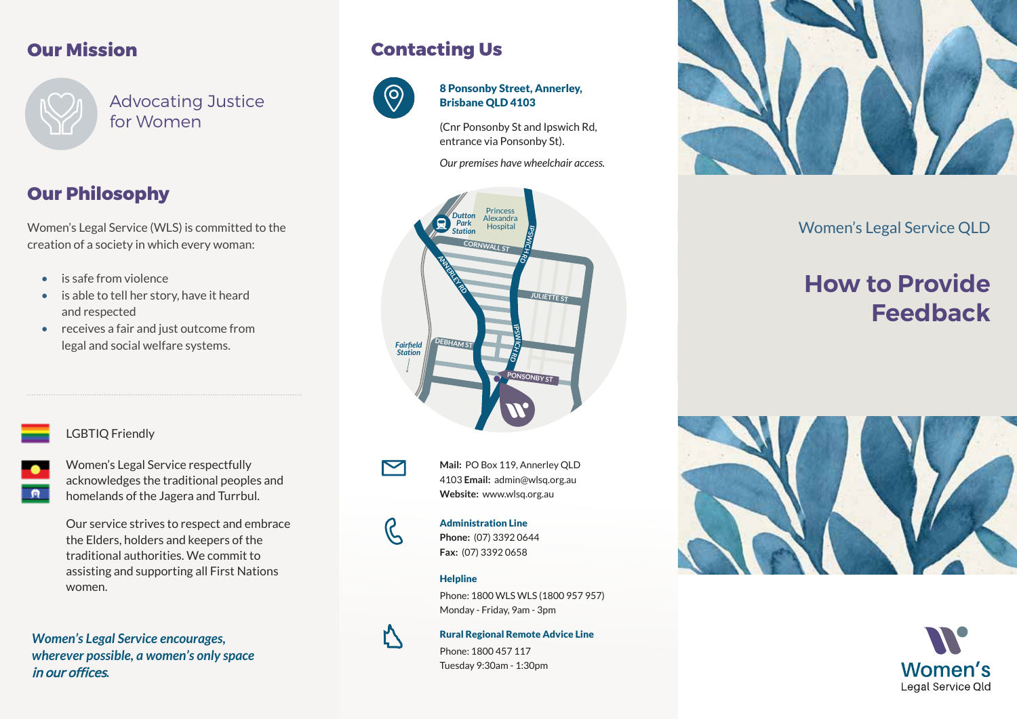## **Our Mission**



Advocating Justice for Women

## **Our Philosophy**

Women's Legal Service (WLS) is committed to the creation of a society in which every woman:

• is safe from violence

LGBTIQ Friendly

women.

 $\sqrt{2}$ 

- is able to tell her story, have it heard and respected
- receives a fair and just outcome from legal and social welfare systems.

Women's Legal Service respectfully acknowledges the traditional peoples and homelands of the Jagera and Turrbul.

Our service strives to respect and embrace the Elders, holders and keepers of the traditional authorities. We commit to assisting and supporting all First Nations

## **Contacting Us**



### 8 Ponsonby Street, Annerley, Brisbane QLD 4103

(Cnr Ponsonby St and Ipswich Rd, entrance via Ponsonby St).

*Our premises have wheelchair access.*

### **RAHOIMSEI IPSW** $\frac{1}{2}$  **ANNERLEY RD** Princess Alexandra Hospital *Fairfield Station Dutton Park Station* **CORNWALL ST JULIETTE ST DEBHAM PONSONBY ST**



 $\mathcal{G}% _{M_{1},M_{2}}^{\alpha,\beta}(\varepsilon)$ 

Ŋ

**Mail:** PO Box 119, Annerley QLD 4103 **Email:** admin@wlsq.org.au **Website:** www.wlsq.org.au

### Administration Line

**Phone:** (07) 3392 0644 **Fax:** (07) 3392 0658

### **Helpline**

Phone: 1800 WLS WLS (1800 957 957) Monday - Friday, 9am - 3pm

### Rural Regional Remote Advice Line

Phone: 1800 457 117 Tuesday 9:30am - 1:30pm



## Women's Legal Service QLD

# **How to Provide Feedback**





### *Women's Legal Service encourages, wherever possible, a women's only space* in our offices*.*